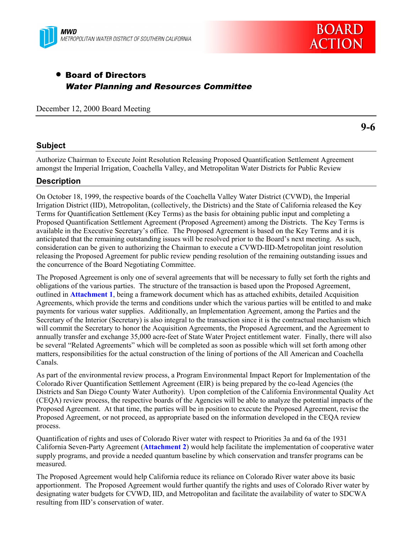



# • Board of Directors Water Planning and Resources Committee

December 12, 2000 Board Meeting

**9-6**

## **Subject**

Authorize Chairman to Execute Joint Resolution Releasing Proposed Quantification Settlement Agreement amongst the Imperial Irrigation, Coachella Valley, and Metropolitan Water Districts for Public Review

## **Description**

On October 18, 1999, the respective boards of the Coachella Valley Water District (CVWD), the Imperial Irrigation District (IID), Metropolitan, (collectively, the Districts) and the State of California released the Key Terms for Quantification Settlement (Key Terms) as the basis for obtaining public input and completing a Proposed Quantification Settlement Agreement (Proposed Agreement) among the Districts. The Key Terms is available in the Executive Secretary's office. The Proposed Agreement is based on the Key Terms and it is anticipated that the remaining outstanding issues will be resolved prior to the Board's next meeting. As such, consideration can be given to authorizing the Chairman to execute a CVWD-IID-Metropolitan joint resolution releasing the Proposed Agreement for public review pending resolution of the remaining outstanding issues and the concurrence of the Board Negotiating Committee.

The Proposed Agreement is only one of several agreements that will be necessary to fully set forth the rights and obligations of the various parties. The structure of the transaction is based upon the Proposed Agreement, outlined in **Attachment 1**, being a framework document which has as attached exhibits, detailed Acquisition Agreements, which provide the terms and conditions under which the various parties will be entitled to and make payments for various water supplies. Additionally, an Implementation Agreement, among the Parties and the Secretary of the Interior (Secretary) is also integral to the transaction since it is the contractual mechanism which will commit the Secretary to honor the Acquisition Agreements, the Proposed Agreement, and the Agreement to annually transfer and exchange 35,000 acre-feet of State Water Project entitlement water. Finally, there will also be several "Related Agreements" which will be completed as soon as possible which will set forth among other matters, responsibilities for the actual construction of the lining of portions of the All American and Coachella Canals.

As part of the environmental review process, a Program Environmental Impact Report for Implementation of the Colorado River Quantification Settlement Agreement (EIR) is being prepared by the co-lead Agencies (the Districts and San Diego County Water Authority). Upon completion of the California Environmental Quality Act (CEQA) review process, the respective boards of the Agencies will be able to analyze the potential impacts of the Proposed Agreement. At that time, the parties will be in position to execute the Proposed Agreement, revise the Proposed Agreement, or not proceed, as appropriate based on the information developed in the CEQA review process.

Quantification of rights and uses of Colorado River water with respect to Priorities 3a and 6a of the 1931 California Seven-Party Agreement (**Attachment 2**) would help facilitate the implementation of cooperative water supply programs, and provide a needed quantum baseline by which conservation and transfer programs can be measured.

The Proposed Agreement would help California reduce its reliance on Colorado River water above its basic apportionment. The Proposed Agreement would further quantify the rights and uses of Colorado River water by designating water budgets for CVWD, IID, and Metropolitan and facilitate the availability of water to SDCWA resulting from IID's conservation of water.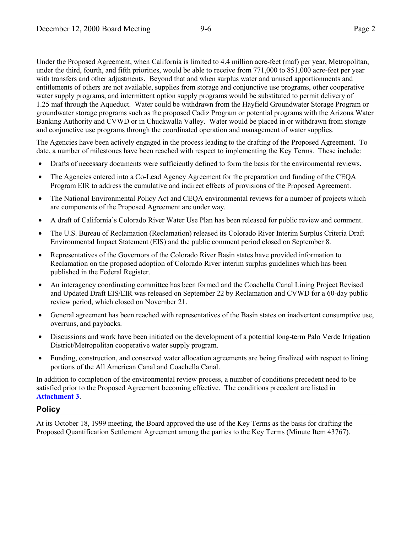Under the Proposed Agreement, when California is limited to 4.4 million acre-feet (maf) per year, Metropolitan, under the third, fourth, and fifth priorities, would be able to receive from 771,000 to 851,000 acre-feet per year with transfers and other adjustments. Beyond that and when surplus water and unused apportionments and entitlements of others are not available, supplies from storage and conjunctive use programs, other cooperative water supply programs, and intermittent option supply programs would be substituted to permit delivery of 1.25 maf through the Aqueduct. Water could be withdrawn from the Hayfield Groundwater Storage Program or groundwater storage programs such as the proposed Cadiz Program or potential programs with the Arizona Water Banking Authority and CVWD or in Chuckwalla Valley. Water would be placed in or withdrawn from storage and conjunctive use programs through the coordinated operation and management of water supplies.

The Agencies have been actively engaged in the process leading to the drafting of the Proposed Agreement. To date, a number of milestones have been reached with respect to implementing the Key Terms. These include:

- Drafts of necessary documents were sufficiently defined to form the basis for the environmental reviews.
- The Agencies entered into a Co-Lead Agency Agreement for the preparation and funding of the CEQA Program EIR to address the cumulative and indirect effects of provisions of the Proposed Agreement.
- The National Environmental Policy Act and CEQA environmental reviews for a number of projects which are components of the Proposed Agreement are under way.
- A draft of California's Colorado River Water Use Plan has been released for public review and comment.
- The U.S. Bureau of Reclamation (Reclamation) released its Colorado River Interim Surplus Criteria Draft Environmental Impact Statement (EIS) and the public comment period closed on September 8.
- Representatives of the Governors of the Colorado River Basin states have provided information to Reclamation on the proposed adoption of Colorado River interim surplus guidelines which has been published in the Federal Register.
- An interagency coordinating committee has been formed and the Coachella Canal Lining Project Revised and Updated Draft EIS/EIR was released on September 22 by Reclamation and CVWD for a 60-day public review period, which closed on November 21.
- General agreement has been reached with representatives of the Basin states on inadvertent consumptive use, overruns, and paybacks.
- Discussions and work have been initiated on the development of a potential long-term Palo Verde Irrigation District/Metropolitan cooperative water supply program.
- Funding, construction, and conserved water allocation agreements are being finalized with respect to lining portions of the All American Canal and Coachella Canal.

In addition to completion of the environmental review process, a number of conditions precedent need to be satisfied prior to the Proposed Agreement becoming effective. The conditions precedent are listed in **Attachment 3**.

## **Policy**

At its October 18, 1999 meeting, the Board approved the use of the Key Terms as the basis for drafting the Proposed Quantification Settlement Agreement among the parties to the Key Terms (Minute Item 43767).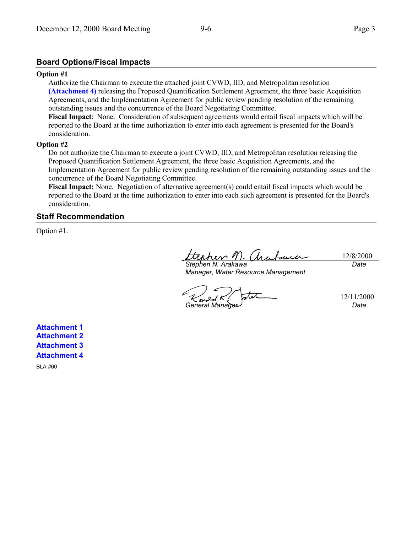## **Board Options/Fiscal Impacts**

#### **Option #1**

Authorize the Chairman to execute the attached joint CVWD, IID, and Metropolitan resolution **(Attachment 4)** releasing the Proposed Quantification Settlement Agreement, the three basic Acquisition Agreements, and the Implementation Agreement for public review pending resolution of the remaining outstanding issues and the concurrence of the Board Negotiating Committee.

**Fiscal Impact**: None. Consideration of subsequent agreements would entail fiscal impacts which will be reported to the Board at the time authorization to enter into each agreement is presented for the Board's consideration.

#### **Option #2**

Do not authorize the Chairman to execute a joint CVWD, IID, and Metropolitan resolution releasing the Proposed Quantification Settlement Agreement, the three basic Acquisition Agreements, and the Implementation Agreement for public review pending resolution of the remaining outstanding issues and the concurrence of the Board Negotiating Committee.

**Fiscal Impact:** None. Negotiation of alternative agreement(s) could entail fiscal impacts which would be reported to the Board at the time authorization to enter into each such agreement is presented for the Board's consideration.

### **Staff Recommendation**

Option #1.

12/8/2000 *Stephen N. Arakawa Date*

*Manager, Water Resource Management*

12/11/2000 *General Manager Date*

**Attachment 1 Attachment 2 Attachment 3 Attachment 4**

BLA #60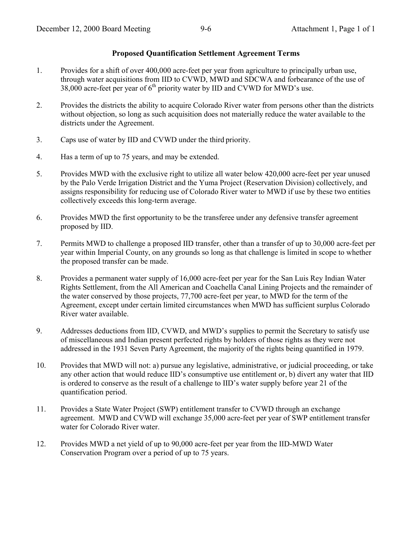## **Proposed Quantification Settlement Agreement Terms**

- 1. Provides for a shift of over 400,000 acre-feet per year from agriculture to principally urban use, through water acquisitions from IID to CVWD, MWD and SDCWA and forbearance of the use of 38,000 acre-feet per year of  $6<sup>th</sup>$  priority water by IID and CVWD for MWD's use.
- 2. Provides the districts the ability to acquire Colorado River water from persons other than the districts without objection, so long as such acquisition does not materially reduce the water available to the districts under the Agreement.
- 3. Caps use of water by IID and CVWD under the third priority.
- 4. Has a term of up to 75 years, and may be extended.
- 5. Provides MWD with the exclusive right to utilize all water below 420,000 acre-feet per year unused by the Palo Verde Irrigation District and the Yuma Project (Reservation Division) collectively, and assigns responsibility for reducing use of Colorado River water to MWD if use by these two entities collectively exceeds this long-term average.
- 6. Provides MWD the first opportunity to be the transferee under any defensive transfer agreement proposed by IID.
- 7. Permits MWD to challenge a proposed IID transfer, other than a transfer of up to 30,000 acre-feet per year within Imperial County, on any grounds so long as that challenge is limited in scope to whether the proposed transfer can be made.
- 8. Provides a permanent water supply of 16,000 acre-feet per year for the San Luis Rey Indian Water Rights Settlement, from the All American and Coachella Canal Lining Projects and the remainder of the water conserved by those projects, 77,700 acre-feet per year, to MWD for the term of the Agreement, except under certain limited circumstances when MWD has sufficient surplus Colorado River water available.
- 9. Addresses deductions from IID, CVWD, and MWD's supplies to permit the Secretary to satisfy use of miscellaneous and Indian present perfected rights by holders of those rights as they were not addressed in the 1931 Seven Party Agreement, the majority of the rights being quantified in 1979.
- 10. Provides that MWD will not: a) pursue any legislative, administrative, or judicial proceeding, or take any other action that would reduce IID's consumptive use entitlement or, b) divert any water that IID is ordered to conserve as the result of a challenge to IID's water supply before year 21 of the quantification period.
- 11. Provides a State Water Project (SWP) entitlement transfer to CVWD through an exchange agreement. MWD and CVWD will exchange 35,000 acre-feet per year of SWP entitlement transfer water for Colorado River water.
- 12. Provides MWD a net yield of up to 90,000 acre-feet per year from the IID-MWD Water Conservation Program over a period of up to 75 years.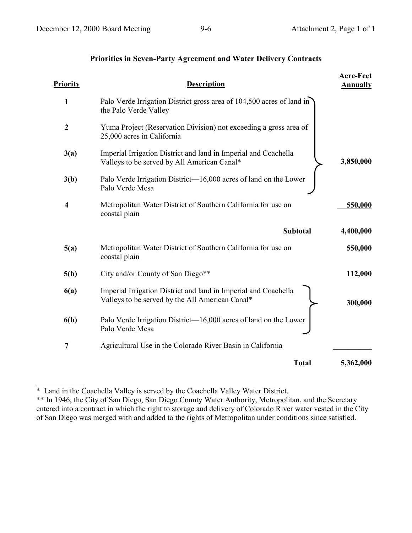# **Priorities in Seven-Party Agreement and Water Delivery Contracts**

| <u>Priority</u>  | <b>Description</b>                                                                                                 | <b>Acre-Feet</b><br><b>Annually</b> |
|------------------|--------------------------------------------------------------------------------------------------------------------|-------------------------------------|
| 1                | Palo Verde Irrigation District gross area of 104,500 acres of land in<br>the Palo Verde Valley                     |                                     |
| $\boldsymbol{2}$ | Yuma Project (Reservation Division) not exceeding a gross area of<br>25,000 acres in California                    |                                     |
| 3(a)             | Imperial Irrigation District and land in Imperial and Coachella<br>Valleys to be served by All American Canal*     | 3,850,000                           |
| 3(b)             | Palo Verde Irrigation District—16,000 acres of land on the Lower<br>Palo Verde Mesa                                |                                     |
| $\boldsymbol{4}$ | Metropolitan Water District of Southern California for use on<br>coastal plain                                     | 550,000                             |
|                  |                                                                                                                    |                                     |
|                  | <b>Subtotal</b>                                                                                                    | 4,400,000                           |
| 5(a)             | Metropolitan Water District of Southern California for use on<br>coastal plain                                     | 550,000                             |
| 5(b)             | City and/or County of San Diego**                                                                                  | 112,000                             |
| 6(a)             | Imperial Irrigation District and land in Imperial and Coachella<br>Valleys to be served by the All American Canal* | 300,000                             |
| 6(b)             | Palo Verde Irrigation District—16,000 acres of land on the Lower<br>Palo Verde Mesa                                |                                     |
| 7                | Agricultural Use in the Colorado River Basin in California                                                         |                                     |

\* Land in the Coachella Valley is served by the Coachella Valley Water District.

**\_\_\_\_\_\_\_\_\_\_\_\_\_\_**

\*\* In 1946, the City of San Diego, San Diego County Water Authority, Metropolitan, and the Secretary entered into a contract in which the right to storage and delivery of Colorado River water vested in the City of San Diego was merged with and added to the rights of Metropolitan under conditions since satisfied.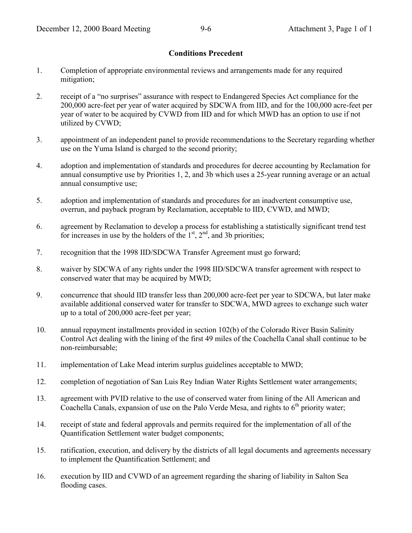## **Conditions Precedent**

- 1. Completion of appropriate environmental reviews and arrangements made for any required mitigation;
- 2. receipt of a "no surprises" assurance with respect to Endangered Species Act compliance for the 200,000 acre-feet per year of water acquired by SDCWA from IID, and for the 100,000 acre-feet per year of water to be acquired by CVWD from IID and for which MWD has an option to use if not utilized by CVWD;
- 3. appointment of an independent panel to provide recommendations to the Secretary regarding whether use on the Yuma Island is charged to the second priority;
- 4. adoption and implementation of standards and procedures for decree accounting by Reclamation for annual consumptive use by Priorities 1, 2, and 3b which uses a 25-year running average or an actual annual consumptive use;
- 5. adoption and implementation of standards and procedures for an inadvertent consumptive use, overrun, and payback program by Reclamation, acceptable to IID, CVWD, and MWD;
- 6. agreement by Reclamation to develop a process for establishing a statistically significant trend test for increases in use by the holders of the  $1<sup>st</sup>$ ,  $2<sup>nd</sup>$ , and 3b priorities;
- 7. recognition that the 1998 IID/SDCWA Transfer Agreement must go forward;
- 8. waiver by SDCWA of any rights under the 1998 IID/SDCWA transfer agreement with respect to conserved water that may be acquired by MWD;
- 9. concurrence that should IID transfer less than 200,000 acre-feet per year to SDCWA, but later make available additional conserved water for transfer to SDCWA, MWD agrees to exchange such water up to a total of 200,000 acre-feet per year;
- 10. annual repayment installments provided in section 102(b) of the Colorado River Basin Salinity Control Act dealing with the lining of the first 49 miles of the Coachella Canal shall continue to be non-reimbursable;
- 11. implementation of Lake Mead interim surplus guidelines acceptable to MWD;
- 12. completion of negotiation of San Luis Rey Indian Water Rights Settlement water arrangements;
- 13. agreement with PVID relative to the use of conserved water from lining of the All American and Coachella Canals, expansion of use on the Palo Verde Mesa, and rights to  $6<sup>th</sup>$  priority water;
- 14. receipt of state and federal approvals and permits required for the implementation of all of the Quantification Settlement water budget components;
- 15. ratification, execution, and delivery by the districts of all legal documents and agreements necessary to implement the Quantification Settlement; and
- 16. execution by IID and CVWD of an agreement regarding the sharing of liability in Salton Sea flooding cases.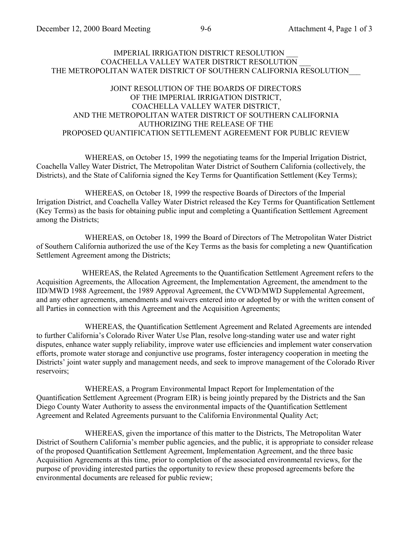### IMPERIAL IRRIGATION DISTRICT RESOLUTION COACHELLA VALLEY WATER DISTRICT RESOLUTION \_\_\_ THE METROPOLITAN WATER DISTRICT OF SOUTHERN CALIFORNIA RESOLUTION\_\_\_

## JOINT RESOLUTION OF THE BOARDS OF DIRECTORS OF THE IMPERIAL IRRIGATION DISTRICT, COACHELLA VALLEY WATER DISTRICT, AND THE METROPOLITAN WATER DISTRICT OF SOUTHERN CALIFORNIA AUTHORIZING THE RELEASE OF THE PROPOSED QUANTIFICATION SETTLEMENT AGREEMENT FOR PUBLIC REVIEW

WHEREAS, on October 15, 1999 the negotiating teams for the Imperial Irrigation District, Coachella Valley Water District, The Metropolitan Water District of Southern California (collectively, the Districts), and the State of California signed the Key Terms for Quantification Settlement (Key Terms);

WHEREAS, on October 18, 1999 the respective Boards of Directors of the Imperial Irrigation District, and Coachella Valley Water District released the Key Terms for Quantification Settlement (Key Terms) as the basis for obtaining public input and completing a Quantification Settlement Agreement among the Districts;

WHEREAS, on October 18, 1999 the Board of Directors of The Metropolitan Water District of Southern California authorized the use of the Key Terms as the basis for completing a new Quantification Settlement Agreement among the Districts;

WHEREAS, the Related Agreements to the Quantification Settlement Agreement refers to the Acquisition Agreements, the Allocation Agreement, the Implementation Agreement, the amendment to the IID/MWD 1988 Agreement, the 1989 Approval Agreement, the CVWD/MWD Supplemental Agreement, and any other agreements, amendments and waivers entered into or adopted by or with the written consent of all Parties in connection with this Agreement and the Acquisition Agreements;

WHEREAS, the Quantification Settlement Agreement and Related Agreements are intended to further California's Colorado River Water Use Plan, resolve long-standing water use and water right disputes, enhance water supply reliability, improve water use efficiencies and implement water conservation efforts, promote water storage and conjunctive use programs, foster interagency cooperation in meeting the Districts' joint water supply and management needs, and seek to improve management of the Colorado River reservoirs;

WHEREAS, a Program Environmental Impact Report for Implementation of the Quantification Settlement Agreement (Program EIR) is being jointly prepared by the Districts and the San Diego County Water Authority to assess the environmental impacts of the Quantification Settlement Agreement and Related Agreements pursuant to the California Environmental Quality Act;

WHEREAS, given the importance of this matter to the Districts, The Metropolitan Water District of Southern California's member public agencies, and the public, it is appropriate to consider release of the proposed Quantification Settlement Agreement, Implementation Agreement, and the three basic Acquisition Agreements at this time, prior to completion of the associated environmental reviews, for the purpose of providing interested parties the opportunity to review these proposed agreements before the environmental documents are released for public review;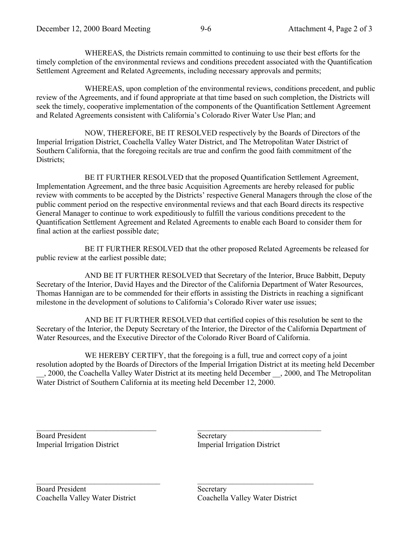WHEREAS, the Districts remain committed to continuing to use their best efforts for the timely completion of the environmental reviews and conditions precedent associated with the Quantification Settlement Agreement and Related Agreements, including necessary approvals and permits;

WHEREAS, upon completion of the environmental reviews, conditions precedent, and public review of the Agreements, and if found appropriate at that time based on such completion, the Districts will seek the timely, cooperative implementation of the components of the Quantification Settlement Agreement and Related Agreements consistent with California's Colorado River Water Use Plan; and

NOW, THEREFORE, BE IT RESOLVED respectively by the Boards of Directors of the Imperial Irrigation District, Coachella Valley Water District, and The Metropolitan Water District of Southern California, that the foregoing recitals are true and confirm the good faith commitment of the Districts:

BE IT FURTHER RESOLVED that the proposed Quantification Settlement Agreement, Implementation Agreement, and the three basic Acquisition Agreements are hereby released for public review with comments to be accepted by the Districts' respective General Managers through the close of the public comment period on the respective environmental reviews and that each Board directs its respective General Manager to continue to work expeditiously to fulfill the various conditions precedent to the Quantification Settlement Agreement and Related Agreements to enable each Board to consider them for final action at the earliest possible date;

BE IT FURTHER RESOLVED that the other proposed Related Agreements be released for public review at the earliest possible date;

AND BE IT FURTHER RESOLVED that Secretary of the Interior, Bruce Babbitt, Deputy Secretary of the Interior, David Hayes and the Director of the California Department of Water Resources, Thomas Hannigan are to be commended for their efforts in assisting the Districts in reaching a significant milestone in the development of solutions to California's Colorado River water use issues;

AND BE IT FURTHER RESOLVED that certified copies of this resolution be sent to the Secretary of the Interior, the Deputy Secretary of the Interior, the Director of the California Department of Water Resources, and the Executive Director of the Colorado River Board of California.

WE HEREBY CERTIFY, that the foregoing is a full, true and correct copy of a joint resolution adopted by the Boards of Directors of the Imperial Irrigation District at its meeting held December \_\_, 2000, the Coachella Valley Water District at its meeting held December \_\_, 2000, and The Metropolitan Water District of Southern California at its meeting held December 12, 2000.

 $\mathcal{L}_\text{max}$  , where  $\mathcal{L}_\text{max}$  is the set of the set of the set of the set of the set of the set of the set of the set of the set of the set of the set of the set of the set of the set of the set of the set of the se Board President Imperial Irrigation District

**Secretary** Imperial Irrigation District

 $\mathcal{L}_\text{max}$  , where  $\mathcal{L}_\text{max}$  is the set of the set of the set of the set of the set of the set of the set of the set of the set of the set of the set of the set of the set of the set of the set of the set of the se

 $\mathcal{L}_\text{max}$ 

Secretary Coachella Valley Water District

 $\mathcal{L}_\text{max}$